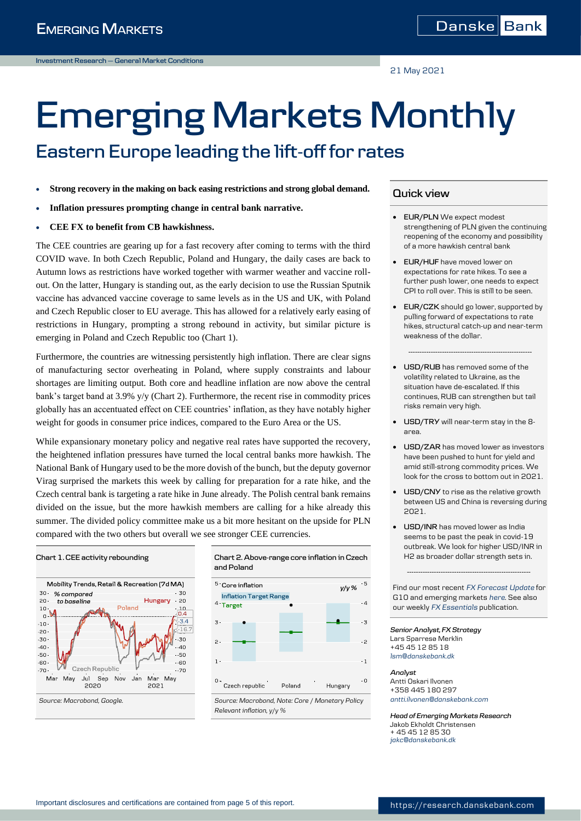21 May 2021

# **Emerging Markets Monthly Eastern Europe leading the lift-off for rates**

- **Strong recovery in the making on back easing restrictions and strong global demand.**
- **Inflation pressures prompting change in central bank narrative.**
- **CEE FX to benefit from CB hawkishness.**

The CEE countries are gearing up for a fast recovery after coming to terms with the third COVID wave. In both Czech Republic, Poland and Hungary, the daily cases are back to Autumn lows as restrictions have worked together with warmer weather and vaccine rollout. On the latter, Hungary is standing out, as the early decision to use the Russian Sputnik vaccine has advanced vaccine coverage to same levels as in the US and UK, with Poland and Czech Republic closer to EU average. This has allowed for a relatively early easing of restrictions in Hungary, prompting a strong rebound in activity, but similar picture is emerging in Poland and Czech Republic too (Chart 1).

Furthermore, the countries are witnessing persistently high inflation. There are clear signs of manufacturing sector overheating in Poland, where supply constraints and labour shortages are limiting output. Both core and headline inflation are now above the central bank's target band at 3.9% y/y (Chart 2). Furthermore, the recent rise in commodity prices globally has an accentuated effect on CEE countries' inflation, as they have notably higher weight for goods in consumer price indices, compared to the Euro Area or the US.

While expansionary monetary policy and negative real rates have supported the recovery, the heightened inflation pressures have turned the local central banks more hawkish. The National Bank of Hungary used to be the more dovish of the bunch, but the deputy governor Virag surprised the markets this week by calling for preparation for a rate hike, and the Czech central bank is targeting a rate hike in June already. The Polish central bank remains divided on the issue, but the more hawkish members are calling for a hike already this summer. The divided policy committee make us a bit more hesitant on the upside for PLN compared with the two others but overall we see stronger CEE currencies.

#### **Chart 1. CEE activity rebounding Chart 2. Above-range core inflation in Czech**  Mobility Trends, Retail & Recreation (7d MA) 30 · % compared  $-30$  $20 -$ Hungary  $-20$ to baseline Poland  $^{10}$  M  $10$  $-10 -20 -30 \overline{\mathcal{L}}$  $-40 -40$  $-50$  $-50 -60 -60$ Czech Republic  $-70 -20$ Mar May Jul Sep Nov Jan Ma May 2020  $2021$ *Source: Macrobond, Google. Source: Macrobond, Note: Core / Monetary Policy*

**and Poland**  $5 -$  Core inflation  $y/y$  %



*Relevant inflation, y/y %*

## **Quick view**

- **EUR/PLN** We expect modest strengthening of PLN given the continuing reopening of the economy and possibility of a more hawkish central bank
- **EUR/HUF** have moved lower on expectations for rate hikes. To see a further push lower, one needs to expect CPI to roll over. This is still to be seen.
- **EUR/CZK** should go lower, supported by pulling forward of expectations to rate hikes, structural catch-up and near-term weakness of the dollar.

**-------------------------------------------------------**

- **USD/RUB** has removed some of the volatility related to Ukraine, as the situation have de-escalated. If this continues, RUB can strengthen but tail risks remain very high.
- **USD/TRY** will near-term stay in the 8 area.
- **USD/ZAR** has moved lower as investors have been pushed to hunt for yield and amid still-strong commodity prices. We look for the cross to bottom out in 2021.
- **USD/CNY** to rise as the relative growth between US and China is reversing during 2021.
- **USD/INR** has moved lower as India seems to be past the peak in covid-19 outbreak. We look for higher USD/INR in H2 as broader dollar strength sets in.

Find our most recent *[FX Forecast Update](https://research.danskebank.com/research/#/Research/articlelist/FX-Forecast-Update)* for G10 and emerging markets *[here](https://research.danskebank.com/research/#/Research/articlelist/FX-Forecast-Update)*. See also our weekly *[FX Essentials](https://research.danskebank.com/research/#/Research/articlelist/FX-Essentials)* publication.

**-------------------------------------------------------**

*Senior Analyst, FX Strategy* Lars Sparresø Merklin +45 45 12 85 18 *[lsm@danskebank.dk](mailto:lsm@danskebank.dk)*

#### *Analyst*

Antti Oskari Ilvonen +358 445 180 297 *antti.ilvonen@danskebank.com*

*Head of Emerging Markets Research* Jakob Ekholdt Christensen + 45 45 12 85 30 *[jakc@danskebank.dk](mailto:jakc@danskebank.dk)*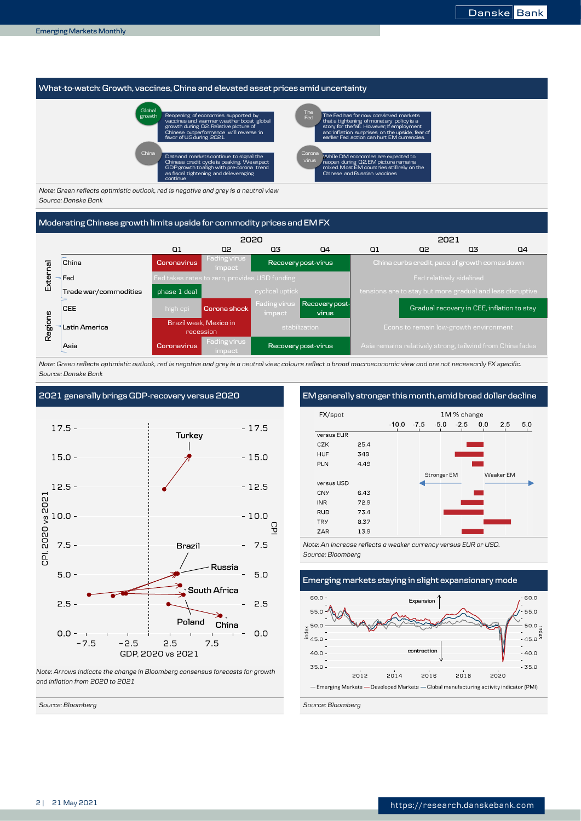### **What-to-watch: Growth, vaccines, China and elevated asset prices amid uncertainty**



*Note: Green reflects optimistic outlook, red is negative and grey is a neutral view Source: Danske Bank*

#### **Moderating Chinese growth limits upside for commodity prices and EM FX**



*Note: Green reflects optimistic outlook, red is negative and grey is a neutral view; colours reflect a broad macroeconomic view and are not necessarily FX specific. Source: Danske Bank*



*Note: Arrows indicate the change in Bloomberg consensus forecasts for growth and inflation from 2020 to 2021*

*Source: Bloomberg Source: Bloomberg*

**2021 generally brings GDP-recovery versus 2020 EM generally stronger this month, amid broad dollar decline**



*Note: An increase reflects a weaker currency versus EUR or USD. Source: Bloomberg*

**Emerging markets staying in slight expansionary mode**

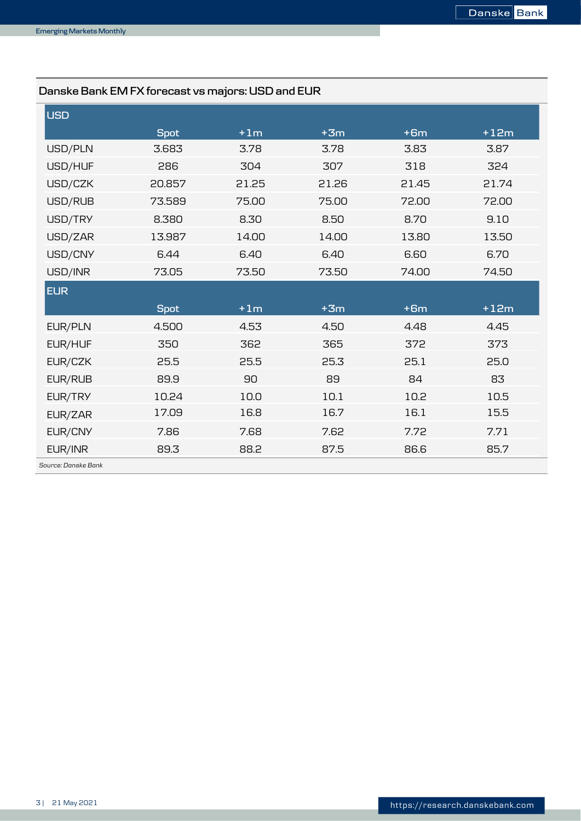## **Danske Bank EM FX forecast vs majors: USD and EUR**

| <b>USD</b>          |             |       |       |       |        |
|---------------------|-------------|-------|-------|-------|--------|
|                     | <b>Spot</b> | $+1m$ | $+3m$ | $+6m$ | $+12m$ |
| USD/PLN             | 3.683       | 3.78  | 3.78  | 3.83  | 3.87   |
| USD/HUF             | 286         | 304   | 307   | 318   | 324    |
| USD/CZK             | 20.857      | 21.25 | 21.26 | 21.45 | 21.74  |
| USD/RUB             | 73.589      | 75.00 | 75.00 | 72.00 | 72.00  |
| USD/TRY             | 8.380       | 8.30  | 8.50  | 8.70  | 9.10   |
| USD/ZAR             | 13.987      | 14.00 | 14.00 | 13.80 | 13.50  |
| USD/CNY             | 6.44        | 6.40  | 6.40  | 6.60  | 6.70   |
| USD/INR             | 73.05       | 73.50 | 73.50 | 74.00 | 74.50  |
| <b>EUR</b>          |             |       |       |       |        |
|                     | <b>Spot</b> | $+1m$ | $+3m$ | $+6m$ | $+12m$ |
| EUR/PLN             | 4.500       | 4.53  | 4.50  | 4.48  | 4.45   |
| EUR/HUF             | 350         | 362   | 365   | 372   | 373    |
| EUR/CZK             | 25.5        | 25.5  | 25.3  | 25.1  | 25.0   |
| EUR/RUB             | 89.9        | 90    | 89    | 84    | 83     |
| EUR/TRY             | 10.24       | 10.0  | 10.1  | 10.2  | 10.5   |
| EUR/ZAR             | 17.09       | 16.8  | 16.7  | 16.1  | 15.5   |
| EUR/CNY             | 7.86        | 7.68  | 7.62  | 7.72  | 7.71   |
| EUR/INR             | 89.3        | 88.2  | 87.5  | 86.6  | 85.7   |
| Source: Danske Bank |             |       |       |       |        |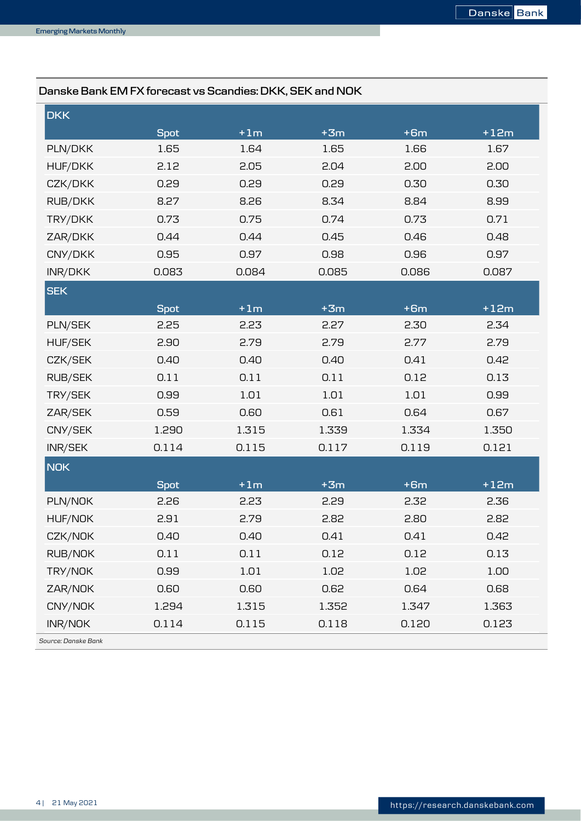## **Danske Bank EM FX forecast vs Scandies: DKK, SEK and NOK**

| <b>DKK</b>     |             |       |       |       |        |
|----------------|-------------|-------|-------|-------|--------|
|                | <b>Spot</b> | $+1m$ | $+3m$ | $+6m$ | $+12m$ |
| PLN/DKK        | 1.65        | 1.64  | 1.65  | 1.66  | 1.67   |
| <b>HUF/DKK</b> | 2.12        | 2.05  | 2.04  | 2.00  | 2.00   |
| CZK/DKK        | 0.29        | 0.29  | 0.29  | 0.30  | 0.30   |
| RUB/DKK        | 8.27        | 8.26  | 8.34  | 8.84  | 8.99   |
| TRY/DKK        | 0.73        | 0.75  | 0.74  | 0.73  | 0.71   |
| ZAR/DKK        | 0.44        | 0.44  | 0.45  | 0.46  | 0.48   |
| CNY/DKK        | 0.95        | 0.97  | 0.98  | 0.96  | 0.97   |
| INR/DKK        | 0.083       | 0.084 | 0.085 | 0.086 | 0.087  |
| <b>SEK</b>     |             |       |       |       |        |
|                | <b>Spot</b> | $+1m$ | $+3m$ | $+6m$ | $+12m$ |
| PLN/SEK        | 2.25        | 2.23  | 2.27  | 2.30  | 2.34   |
| <b>HUF/SEK</b> | 2.90        | 2.79  | 2.79  | 2.77  | 2.79   |
| CZK/SEK        | 0.40        | 0.40  | 0.40  | 0.41  | 0.42   |
| <b>RUB/SEK</b> | 0.11        | 0.11  | 0.11  | 0.12  | 0.13   |
| TRY/SEK        | 0.99        | 1.01  | 1.01  | 1.01  | 0.99   |
| ZAR/SEK        | 0.59        | 0.60  | 0.61  | 0.64  | 0.67   |
| CNY/SEK        | 1.290       | 1.315 | 1.339 | 1.334 | 1.350  |
| INR/SEK        | 0.114       | 0.115 | 0.117 | 0.119 | 0.121  |
| <b>NOK</b>     |             |       |       |       |        |
|                | <b>Spot</b> | $+1m$ | $+3m$ | $+6m$ | $+12m$ |
| PLN/NOK        | 2.26        | 2.23  | 2.29  | 2.32  | 2.36   |
| HUF/NOK        | 2.91        | 2.79  | 2.82  | 2.80  | 2.82   |
| CZK/NOK        | 0.40        | 0.40  | 0.41  | 0.41  | 0.42   |
| RUB/NOK        | 0.11        | 0.11  | 0.12  | 0.12  | 0.13   |
| TRY/NOK        | 0.99        | 1.01  | 1.02  | 1.02  | 1.00   |
| ZAR/NOK        | 0.60        | 0.60  | 0.62  | 0.64  | 0.68   |
| CNY/NOK        | 1.294       | 1.315 | 1.352 | 1.347 | 1.363  |
| INR/NOK        | 0.114       | 0.115 | 0.118 | 0.120 | 0.123  |

*Source: Danske Bank*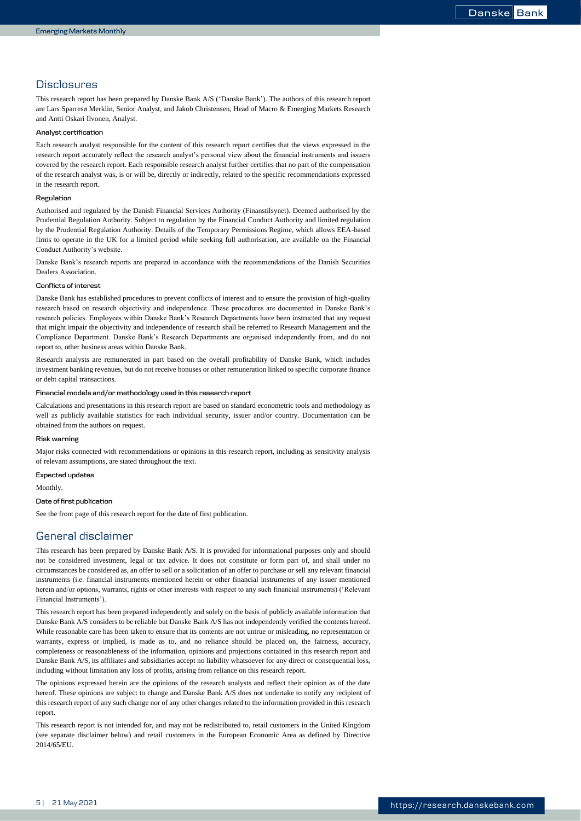## **Disclosures**

This research report has been prepared by Danske Bank A/S ('Danske Bank'). The authors of this research report are Lars Sparresø Merklin, Senior Analyst, and Jakob Christensen, Head of Macro & Emerging Markets Research and Antti Oskari Ilvonen, Analyst.

#### **Analyst certification**

Each research analyst responsible for the content of this research report certifies that the views expressed in the research report accurately reflect the research analyst's personal view about the financial instruments and issuers covered by the research report. Each responsible research analyst further certifies that no part of the compensation of the research analyst was, is or will be, directly or indirectly, related to the specific recommendations expressed in the research report.

#### **Regulation**

Authorised and regulated by the Danish Financial Services Authority (Finanstilsynet). Deemed authorised by the Prudential Regulation Authority. Subject to regulation by the Financial Conduct Authority and limited regulation by the Prudential Regulation Authority. Details of the Temporary Permissions Regime, which allows EEA-based firms to operate in the UK for a limited period while seeking full authorisation, are available on the Financial Conduct Authority's website.

Danske Bank's research reports are prepared in accordance with the recommendations of the Danish Securities Dealers Association.

#### **Conflicts of interest**

Danske Bank has established procedures to prevent conflicts of interest and to ensure the provision of high-quality research based on research objectivity and independence. These procedures are documented in Danske Bank's research policies. Employees within Danske Bank's Research Departments have been instructed that any request that might impair the objectivity and independence of research shall be referred to Research Management and the Compliance Department. Danske Bank's Research Departments are organised independently from, and do not report to, other business areas within Danske Bank.

Research analysts are remunerated in part based on the overall profitability of Danske Bank, which includes investment banking revenues, but do not receive bonuses or other remuneration linked to specific corporate finance or debt capital transactions.

#### **Financial models and/or methodology used in this research report**

Calculations and presentations in this research report are based on standard econometric tools and methodology as well as publicly available statistics for each individual security, issuer and/or country. Documentation can be obtained from the authors on request.

#### **Risk warning**

Major risks connected with recommendations or opinions in this research report, including as sensitivity analysis of relevant assumptions, are stated throughout the text.

#### **Expected updates**

Monthly.

#### **Date of first publication**

See the front page of this research report for the date of first publication.

## General disclaimer

This research has been prepared by Danske Bank A/S. It is provided for informational purposes only and should not be considered investment, legal or tax advice. It does not constitute or form part of, and shall under no circumstances be considered as, an offer to sell or a solicitation of an offer to purchase or sell any relevant financial instruments (i.e. financial instruments mentioned herein or other financial instruments of any issuer mentioned herein and/or options, warrants, rights or other interests with respect to any such financial instruments) ('Relevant Financial Instruments').

This research report has been prepared independently and solely on the basis of publicly available information that Danske Bank A/S considers to be reliable but Danske Bank A/S has not independently verified the contents hereof. While reasonable care has been taken to ensure that its contents are not untrue or misleading, no representation or warranty, express or implied, is made as to, and no reliance should be placed on, the fairness, accuracy, completeness or reasonableness of the information, opinions and projections contained in this research report and Danske Bank A/S, its affiliates and subsidiaries accept no liability whatsoever for any direct or consequential loss, including without limitation any loss of profits, arising from reliance on this research report.

The opinions expressed herein are the opinions of the research analysts and reflect their opinion as of the date hereof. These opinions are subject to change and Danske Bank A/S does not undertake to notify any recipient of this research report of any such change nor of any other changes related to the information provided in this research report.

This research report is not intended for, and may not be redistributed to, retail customers in the United Kingdom (see separate disclaimer below) and retail customers in the European Economic Area as defined by Directive 2014/65/EU.